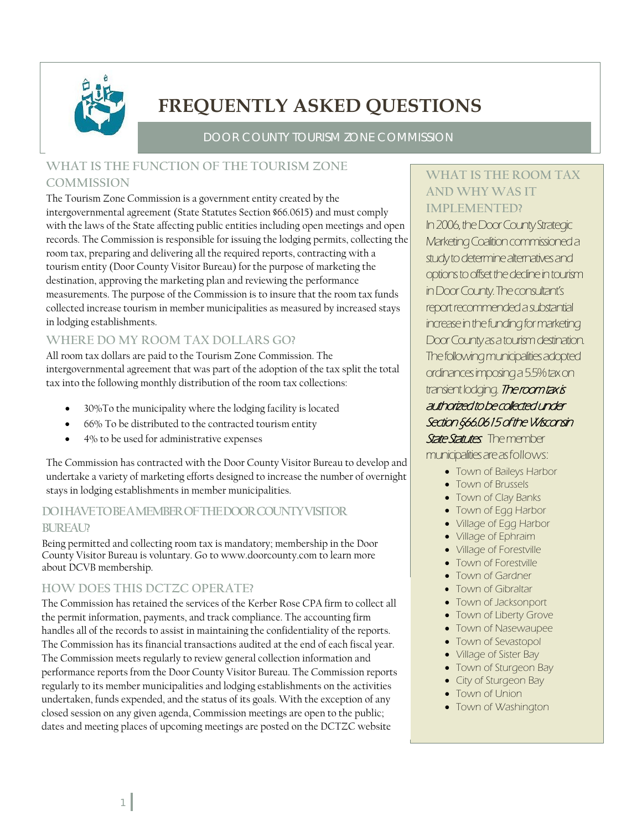

# **FREQUENTLY ASKED QUESTIONS**

DOOR COUNTY TOURISM ZONE COMMISSION

### **WHAT IS THE FUNCTION OF THE TOURISM ZONE COMMISSION**

The Tourism Zone Commission is a government entity created by the intergovernmental agreement (State Statutes Section §66.0615) and must comply with the laws of the State affecting public entities including open meetings and open records. The Commission is responsible for issuing the lodging permits, collecting the room tax, preparing and delivering all the required reports, contracting with a tourism entity (Door County Visitor Bureau) for the purpose of marketing the destination, approving the marketing plan and reviewing the performance measurements. The purpose of the Commission is to insure that the room tax funds collected increase tourism in member municipalities as measured by increased stays in lodging establishments.

### **WHERE DO MY ROOM TAX DOLLARS GO?**

All room tax dollars are paid to the Tourism Zone Commission. The intergovernmental agreement that was part of the adoption of the tax split the total tax into the following monthly distribution of the room tax collections:

- 30%To the municipality where the lodging facility is located
- 66% To be distributed to the contracted tourism entity
- 4% to be used for administrative expenses

The Commission has contracted with the Door County Visitor Bureau to develop and undertake a variety of marketing efforts designed to increase the number of overnight stays in lodging establishments in member municipalities.

### **DO I HAVE TO BE A MEMBER OF THE DOOR COUNTY VISITOR BUREAU?**

Being permitted and collecting room tax is mandatory; membership in the Door County Visitor Bureau is voluntary. Go to www.doorcounty.com to learn more about DCVB membership.

### **HOW DOES THIS DCTZC OPERATE?**

 handles all of the records to assist in maintaining the confidentiality of the reports. The Commission has retained the services of the Kerber Rose CPA firm to collect all the permit information, payments, and track compliance. The accounting firm The Commission has its financial transactions audited at the end of each fiscal year. The Commission meets regularly to review general collection information and performance reports from the Door County Visitor Bureau. The Commission reports regularly to its member municipalities and lodging establishments on the activities undertaken, funds expended, and the status of its goals. With the exception of any closed session on any given agenda, Commission meetings are open to the public; dates and meeting places of upcoming meetings are posted on the DCTZC website

### **WHAT IS THE ROOM TAX AND WHY WAS IT IMPLEMENTED?**

In 2006, the Door County Strategic Marketing Coalition commissioned a study to determine alternatives and options to offset the decline in tourism in Door County. The consultant's report recommended a substantial increase in the funding for marketing Door County as a tourism destination. The following municipalities adopted ordinances imposing a 5.5% tax on transient lodging. The room tax is authorized to be collected under Section §66.0615 of the Wisconsin

State Statutes. The member municipalities are as follows:

- Town of Baileys Harbor
- Town of Brussels
- Town of Clay Banks
- Town of Egg Harbor
- Village of Egg Harbor
- Village of Ephraim
- Village of Forestville
- Town of Forestville
- Town of Gardner
- Town of Gibraltar
- Town of Jacksonport
- Town of Liberty Grove
- Town of Nasewaupee
- Town of Sevastopol
- Village of Sister Bay
- Town of Sturgeon Bay
- City of Sturgeon Bay
- Town of Union
- Town of Washington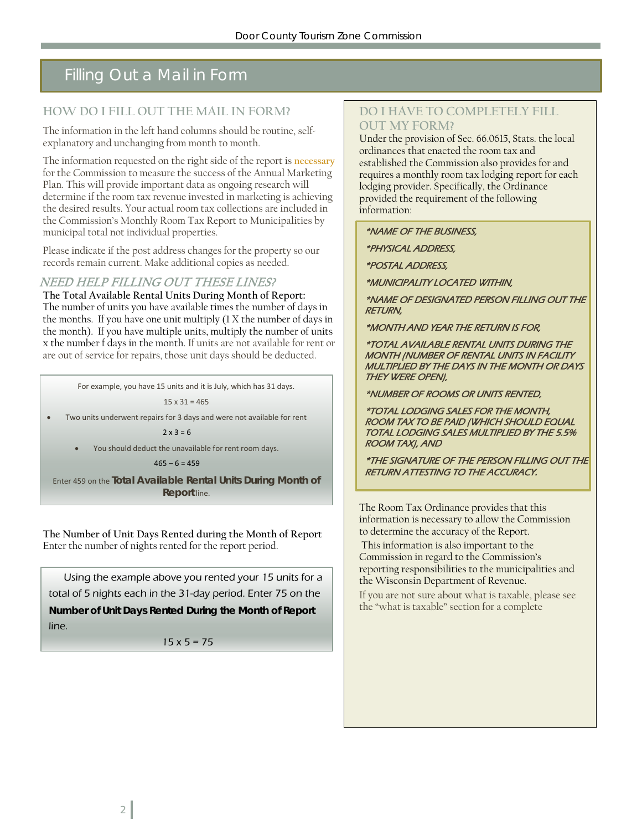# Filling Out a Mail in Form

#### **HOW DO I FILL OUT THE MAIL IN FORM?**

The information in the left hand columns should be routine, selfexplanatory and unchanging from month to month.

The information requested on the right side of the report is **necessary** for the Commission to measure the success of the Annual Marketing Plan. This will provide important data as ongoing research will determine if the room tax revenue invested in marketing is achieving the desired results. Your actual room tax collections are included in the Commission's Monthly Room Tax Report to Municipalities by municipal total not individual properties.

Please indicate if the post address changes for the property so our records remain current. Make additional copies as needed.

### NEED HELP FILLING OUT THESE LINES?

**The Total Available Rental Units During Month of Report:** The number of units you have available times the number of days in the months. If you have one unit multiply (1 X the number of days in the month). If you have multiple units, multiply the number of units x the number f days in the month. If units are not available for rent or are out of service for repairs, those unit days should be deducted.

For example, you have 15 units and it is July, which has 31 days.

 $15 \times 31 = 465$ 

• Two units underwent repairs for 3 days and were not available for rent

 $2x 3 = 6$ 

You should deduct the unavailable for rent room days.

 $465 - 6 = 459$ 

 **Report** line. Enter 459 on the **Total Available Rental Units During Month of** 

**The Number of Unit Days Rented during the Month of Report** Enter the number of nights rented for the report period.

Using the example above you rented your 15 units for a total of 5 nights each in the 31-day period. Enter 75 on the **Number of Unit Days Rented During the Month of Report** line.

 $15 \times 5 = 75$ 

#### **DO I HAVE TO COMPLETELY FILL OUT MY FORM?**

Under the provision of Sec. 66.0615, Stats. the local ordinances that enacted the room tax and established the Commission also provides for and requires a monthly room tax lodging report for each lodging provider. Specifically, the Ordinance provided the requirement of the following information:

\*NAME OF THE BUSINESS,

\*PHYSICAL ADDRESS,

\*POSTAL ADDRESS,

\*MUNICIPALITY LOCATED WITHIN,

\*NAME OF DESIGNATED PERSON FILLING OUT THE RETURN,

\*MONTH AND YEAR THE RETURN IS FOR,

\*TOTAL AVAILABLE RENTAL UNITS DURING THE MONTH (NUMBER OF RENTAL UNITS IN FACILITY MULTIPLIED BY THE DAYS IN THE MONTH OR DAYS THEY WERE OPEN),

\*NUMBER OF ROOMS OR UNITS RENTED,

\*TOTAL LODGING SALES FOR THE MONTH, ROOM TAX TO BE PAID (WHICH SHOULD EQUAL TOTAL LODGING SALES MULTIPLIED BY THE 5.5% ROOM TAX), AND

\*THE SIGNATURE OF THE PERSON FILLING OUT THE RETURN ATTESTING TO THE ACCURACY.

The Room Tax Ordinance provides that this information is necessary to allow the Commission to determine the accuracy of the Report.

This information is also important to the Commission in regard to the Commission's reporting responsibilities to the municipalities and the Wisconsin Department of Revenue.

If you are not sure about what is taxable, please see the "what is taxable" section for a complete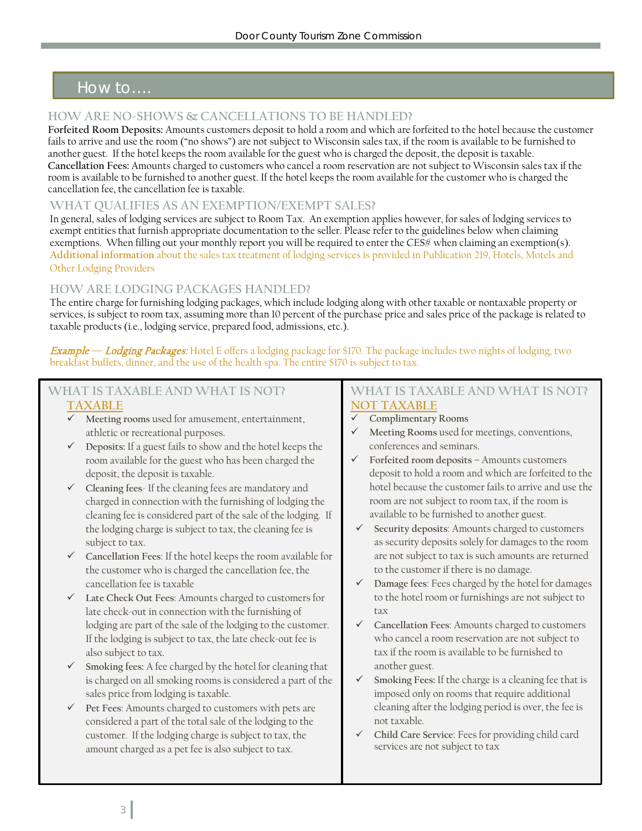## How to….

#### **HOW ARE NO-SHOWS & CANCELLATIONS TO BE HANDLED?**

**Forfeited Room Deposits:** Amounts customers deposit to hold a room and which are forfeited to the hotel because the customer fails to arrive and use the room ("no shows") are not subject to Wisconsin sales tax, if the room is available to be furnished to another guest. If the hotel keeps the room available for the guest who is charged the deposit, the deposit is taxable. **Cancellation Fees:** Amounts charged to customers who cancel a room reservation are not subject to Wisconsin sales tax if the room is available to be furnished to another guest. If the hotel keeps the room available for the customer who is charged the cancellation fee, the cancellation fee is taxable.

#### **WHAT QUALIFIES AS AN EXEMPTION/EXEMPT SALES?**

In general, sales of lodging services are subject to Room Tax. An exemption applies however, for sales of lodging services to exempt entities that furnish appropriate documentation to the seller. Please refer to the guidelines below when claiming exemptions. When filling out your monthly report you will be required to enter the CES# when claiming an exemption(s). **Additional information** about the sales tax treatment of lodging services is provided in Publication 219, Hotels, Motels and Other Lodging Providers

### **HOW ARE LODGING PACKAGES HANDLED?**

The entire charge for furnishing lodging packages, which include lodging along with other taxable or nontaxable property or services, is subject to room tax, assuming more than 10 percent of the purchase price and sales price of the package is related to taxable products (i.e., lodging service, prepared food, admissions, etc.).

Example **—** Lodging Packages: Hotel E offers a lodging package for \$170. The package includes two nights of lodging, two breakfast buffets, dinner, and the use of the health spa. The entire \$170 is subject to tax.

### **WHAT IS TAXABLE AND WHAT IS NOT? TAXABLE**

- **Meeting rooms** used for amusement, entertainment, athletic or recreational purposes.
- **Deposits:** If a guest fails to show and the hotel keeps the room available for the guest who has been charged the deposit, the deposit is taxable.
- **Cleaning fees** If the cleaning fees are mandatory and charged in connection with the furnishing of lodging the cleaning fee is considered part of the sale of the lodging. If the lodging charge is subject to tax, the cleaning fee is subject to tax.
- **Cancellation Fees**: If the hotel keeps the room available for the customer who is charged the cancellation fee, the cancellation fee is taxable
- **Late Check Out Fees**: Amounts charged to customers for late check-out in connection with the furnishing of lodging are part of the sale of the lodging to the customer. If the lodging is subject to tax, the late check-out fee is also subject to tax.
- **Smoking fees:** A fee charged by the hotel for cleaning that is charged on all smoking rooms is considered a part of the sales price from lodging is taxable.
- **Pet Fees**: Amounts charged to customers with pets are considered a part of the total sale of the lodging to the customer. If the lodging charge is subject to tax, the amount charged as a pet fee is also subject to tax.

#### **WHAT IS TAXABLE AND WHAT IS NOT? NOT TAXABLE**

- **Complimentary Rooms**
- **Meeting Rooms** used for meetings, conventions, conferences and seminars.
- **Forfeited room deposits** Amounts customers deposit to hold a room and which are forfeited to the hotel because the customer fails to arrive and use the room are not subject to room tax, if the room is available to be furnished to another guest.
- **Security deposits**: Amounts charged to customers as security deposits solely for damages to the room are not subject to tax is such amounts are returned to the customer if there is no damage.
- **Damage fees**: Fees charged by the hotel for damages to the hotel room or furnishings are not subject to tax
- **Cancellation Fees**: Amounts charged to customers who cancel a room reservation are not subject to tax if the room is available to be furnished to another guest.
- **Smoking Fees:** If the charge is a cleaning fee that is imposed only on rooms that require additional cleaning after the lodging period is over, the fee is not taxable.
- **Child Care Service**: Fees for providing child card services are not subject to tax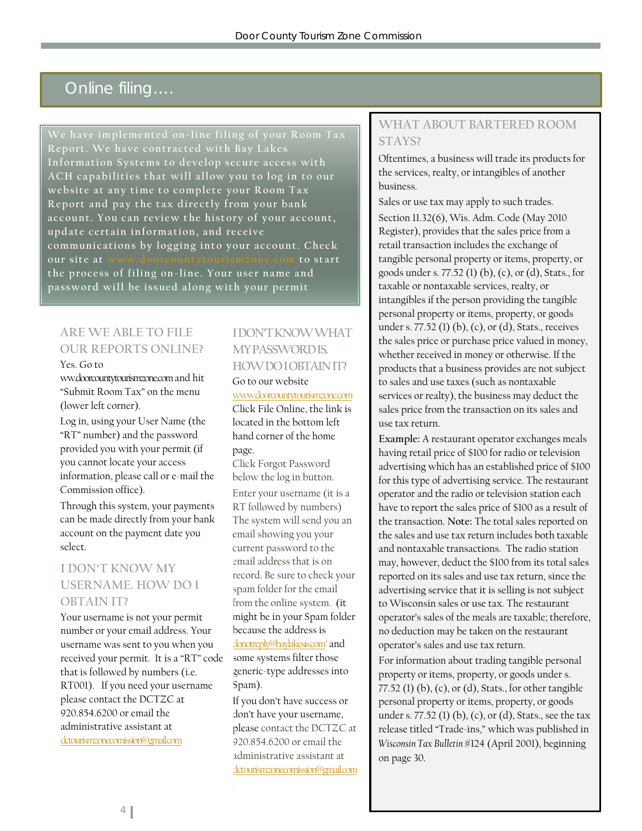### Online filing….

**We have implemented on-line filing of your Room Tax Report. We have contracted with Bay Lakes Information Systems to develop secure access with ACH capabilities that will allow you to log in to our website at any time to complete your Room Tax Report and pay the tax directly from your bank account. You can review the history of your account, update certain information, and receive communications by logging into your account. Check our site at www.doorcountytourismzone.com to start the process of filing on-line. Your user name and password will be issued along with your permit**

### **ARE WE ABLE TO FILE OUR REPORTS ONLINE?**

Yes. Go to

ww.doorcountytourismzone.comand hit "Submit Room Tax" on the menu (lower left corner).

Log in, using your User Name (the "RT" number) and the password provided you with your permit (if you cannot locate your access information, please call or e-mail the Commission office).

Through this system, your payments can be made directly from your bank account on the payment date you select.

### **I DON'T KNOW MY USERNAME. HOW DO I OBTAIN IT?**

Your username is not your permit number or your email address. Your username was sent to you when you received your permit. It is a "RT" code that is followed by numbers (i.e. RT001). If you need your username please contact the DCTZC at 920.854.6200 or email the administrative assistant at [dctourismzonecomission@gmail.com](mailto:dctourismzonecomission@gmail.com)

### **I DON'T KNOW WHAT MY PASSWORD IS. HOW DO I OBTAIN IT?**

### Go to our website

[www.doorcountytourismzone.com](http://www.doorcountytourismzone.com/)

Click File Online, the link is located in the bottom left hand corner of the home page.

Click Forgot Password below the log in button. Enter your username (it is a RT followed by numbers) The system will send you an email showing you your current password to the email address that is on record. Be sure to check your spam folder for the email from the online system. (it might be in your Spam folder because the address is [donotreply@baylakesis.com"](mailto:donotreply@baylakesis.com) and some systems filter those generic-type addresses into Spam).

If you don't have success or don't have your username, please contact the DCTZC at 920.854.6200 or email the administrative assistant at [dctourismzonecomission@gmail.com](mailto:dctourismzonecomission@gmail.com)

### **WHAT ABOUT BARTERED ROOM STAYS?**

Oftentimes, a business will trade its products for the services, realty, or intangibles of another business.

Sales or use tax may apply to such trades. Section 11.32(6), Wis. Adm. Code (May 2010 Register), provides that the sales price from a retail transaction includes the exchange of tangible personal property or items, property, or goods under s. 77.52 (1) (b), (c), or (d), Stats., for taxable or nontaxable services, realty, or intangibles if the person providing the tangible personal property or items, property, or goods under s. 77.52 (1) (b), (c), or (d), Stats., receives the sales price or purchase price valued in money, whether received in money or otherwise. If the products that a business provides are not subject to sales and use taxes (such as nontaxable services or realty), the business may deduct the sales price from the transaction on its sales and use tax return.

**Example:** A restaurant operator exchanges meals having retail price of \$100 for radio or television advertising which has an established price of \$100 for this type of advertising service. The restaurant operator and the radio or television station each have to report the sales price of \$100 as a result of the transaction. **Note:** The total sales reported on the sales and use tax return includes both taxable and nontaxable transactions. The radio station may, however, deduct the \$100 from its total sales reported on its sales and use tax return, since the advertising service that it is selling is not subject to Wisconsin sales or use tax. The restaurant operator's sales of the meals are taxable; therefore, no deduction may be taken on the restaurant operator's sales and use tax return.

For information about trading tangible personal property or items, property, or goods under s. 77.52 (1) (b), (c), or (d), Stats., for other tangible personal property or items, property, or goods under s. 77.52 (1) (b), (c), or (d), Stats., see the tax release titled "Trade-ins," which was published in *Wisconsin Tax Bulletin* #124 (April 2001), beginning on page 30.